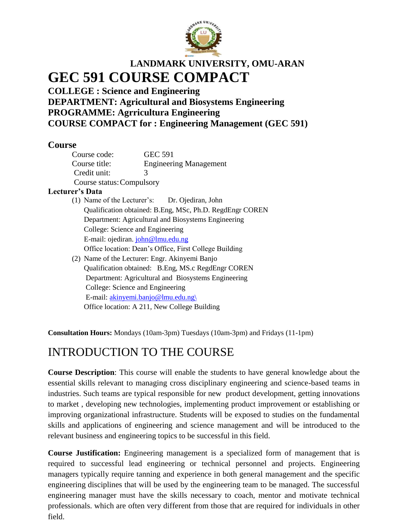

# **LANDMARK UNIVERSITY, OMU-ARAN GEC 591 COURSE COMPACT**

**COLLEGE : Science and Engineering DEPARTMENT: Agricultural and Biosystems Engineering PROGRAMME: Agrricultura Engineering COURSE COMPACT for : Engineering Management (GEC 591)**

# **Course**

| Course code:                                             | <b>GEC 591</b>                                 |  |
|----------------------------------------------------------|------------------------------------------------|--|
| Course title:                                            | <b>Engineering Management</b>                  |  |
| Credit unit:                                             | 3                                              |  |
| Course status: Compulsory                                |                                                |  |
| Lecturer's Data                                          |                                                |  |
|                                                          | (1) Name of the Lecturer's: Dr. Ojediran, John |  |
| Qualification obtained: B.Eng, MSc, Ph.D. RegdEngr COREN |                                                |  |
| Department: Agricultural and Biosystems Engineering      |                                                |  |

Department: Agricultural and Biosystems Engineering College: Science and Engineering E-mail: ojediran. [john@lmu.edu.ng](mailto:john@lmu.edu.ng) Office location: Dean's Office, First College Building

(2) Name of the Lecturer: Engr. Akinyemi Banjo Qualification obtained: B.Eng, MS.c RegdEngr COREN Department: Agricultural and Biosystems Engineering College: Science and Engineering E-mail: [akinyemi.banjo@lmu.edu.ng\](mailto:akinyemi.banjo@lmu.edu.ng/) Office location: A 211, New College Building

**Consultation Hours:** Mondays (10am-3pm) Tuesdays (10am-3pm) and Fridays (11-1pm)

# INTRODUCTION TO THE COURSE

**Course Description**: This course will enable the students to have general knowledge about the essential skills relevant to managing cross disciplinary engineering and science-based teams in industries. Such teams are typical responsible for new product development, getting innovations to market , developing new technologies, implementing product improvement or establishing or improving organizational infrastructure. Students will be exposed to studies on the fundamental skills and applications of engineering and science management and will be introduced to the relevant business and engineering topics to be successful in this field.

**Course Justification:** Engineering management is a specialized form of management that is required to successful lead engineering or technical personnel and projects. Engineering managers typically require tanning and experience in both general management and the specific engineering disciplines that will be used by the engineering team to be managed. The successful engineering manager must have the skills necessary to coach, mentor and motivate technical professionals. which are often very different from those that are required for individuals in other field.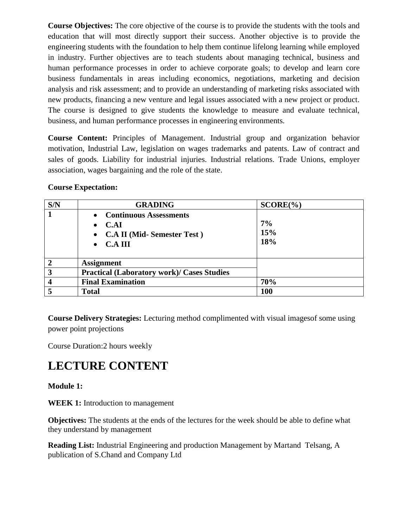**Course Objectives:** The core objective of the course is to provide the students with the tools and education that will most directly support their success. Another objective is to provide the engineering students with the foundation to help them continue lifelong learning while employed in industry. Further objectives are to teach students about managing technical, business and human performance processes in order to achieve corporate goals; to develop and learn core business fundamentals in areas including economics, negotiations, marketing and decision analysis and risk assessment; and to provide an understanding of marketing risks associated with new products, financing a new venture and legal issues associated with a new project or product. The course is designed to give students the knowledge to measure and evaluate technical, business, and human performance processes in engineering environments.

**Course Content:** Principles of Management. Industrial group and organization behavior motivation, Industrial Law, legislation on wages trademarks and patents. Law of contract and sales of goods. Liability for industrial injuries. Industrial relations. Trade Unions, employer association, wages bargaining and the role of the state.

# **Course Expectation:**

| S/N                     | <b>GRADING</b>                                                                                  | $SCORE(\%)$      |
|-------------------------|-------------------------------------------------------------------------------------------------|------------------|
| $\mathbf 1$             | • Continuous Assessments<br>C.AI<br>• C.A II (Mid-Semester Test)<br><b>C.A III</b><br>$\bullet$ | 7%<br>15%<br>18% |
| $\overline{2}$          | <b>Assignment</b>                                                                               |                  |
| 3                       | <b>Practical (Laboratory work)/ Cases Studies</b>                                               |                  |
| $\overline{\mathbf{4}}$ | <b>Final Examination</b>                                                                        | 70%              |
| 5                       | <b>Total</b>                                                                                    | 100              |

**Course Delivery Strategies:** Lecturing method complimented with visual imagesof some using power point projections

Course Duration:2 hours weekly

# **LECTURE CONTENT**

# **Module 1:**

**WEEK 1:** Introduction to management

**Objectives:** The students at the ends of the lectures for the week should be able to define what they understand by management

**Reading List:** Industrial Engineering and production Management by Martand Telsang, A publication of S.Chand and Company Ltd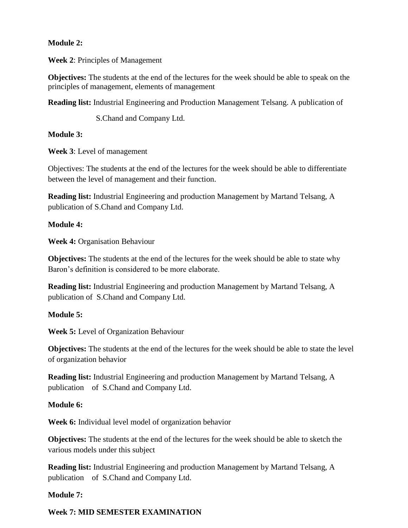### **Module 2:**

**Week 2**: Principles of Management

**Objectives:** The students at the end of the lectures for the week should be able to speak on the principles of management, elements of management

**Reading list:** Industrial Engineering and Production Management Telsang. A publication of

S.Chand and Company Ltd.

### **Module 3:**

**Week 3**: Level of management

Objectives: The students at the end of the lectures for the week should be able to differentiate between the level of management and their function.

**Reading list:** Industrial Engineering and production Management by Martand Telsang, A publication of S.Chand and Company Ltd.

### **Module 4:**

**Week 4:** Organisation Behaviour

**Objectives:** The students at the end of the lectures for the week should be able to state why Baron's definition is considered to be more elaborate.

**Reading list:** Industrial Engineering and production Management by Martand Telsang, A publication of S.Chand and Company Ltd.

# **Module 5:**

**Week 5:** Level of Organization Behaviour

**Objectives:** The students at the end of the lectures for the week should be able to state the level of organization behavior

**Reading list:** Industrial Engineering and production Management by Martand Telsang, A publication of S.Chand and Company Ltd.

#### **Module 6:**

**Week 6:** Individual level model of organization behavior

**Objectives:** The students at the end of the lectures for the week should be able to sketch the various models under this subject

**Reading list:** Industrial Engineering and production Management by Martand Telsang, A publication of S.Chand and Company Ltd.

#### **Module 7:**

#### **Week 7: MID SEMESTER EXAMINATION**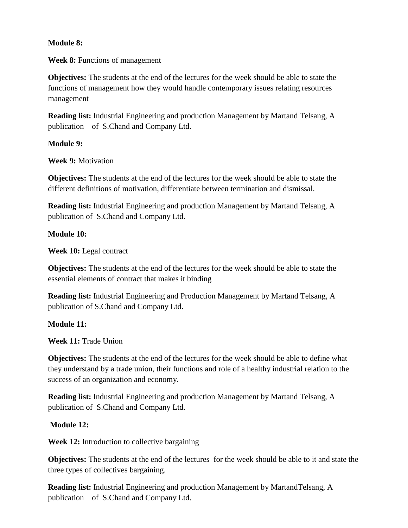### **Module 8:**

**Week 8:** Functions of management

**Objectives:** The students at the end of the lectures for the week should be able to state the functions of management how they would handle contemporary issues relating resources management

**Reading list:** Industrial Engineering and production Management by Martand Telsang, A publication of S.Chand and Company Ltd.

### **Module 9:**

**Week 9:** Motivation

**Objectives:** The students at the end of the lectures for the week should be able to state the different definitions of motivation, differentiate between termination and dismissal.

**Reading list:** Industrial Engineering and production Management by Martand Telsang, A publication of S.Chand and Company Ltd.

### **Module 10:**

**Week 10:** Legal contract

**Objectives:** The students at the end of the lectures for the week should be able to state the essential elements of contract that makes it binding

**Reading list:** Industrial Engineering and Production Management by Martand Telsang, A publication of S.Chand and Company Ltd.

# **Module 11:**

**Week 11:** Trade Union

**Objectives:** The students at the end of the lectures for the week should be able to define what they understand by a trade union, their functions and role of a healthy industrial relation to the success of an organization and economy.

**Reading list:** Industrial Engineering and production Management by Martand Telsang, A publication of S.Chand and Company Ltd.

# **Module 12:**

**Week 12:** Introduction to collective bargaining

**Objectives:** The students at the end of the lectures for the week should be able to it and state the three types of collectives bargaining.

**Reading list:** Industrial Engineering and production Management by MartandTelsang, A publication of S.Chand and Company Ltd.